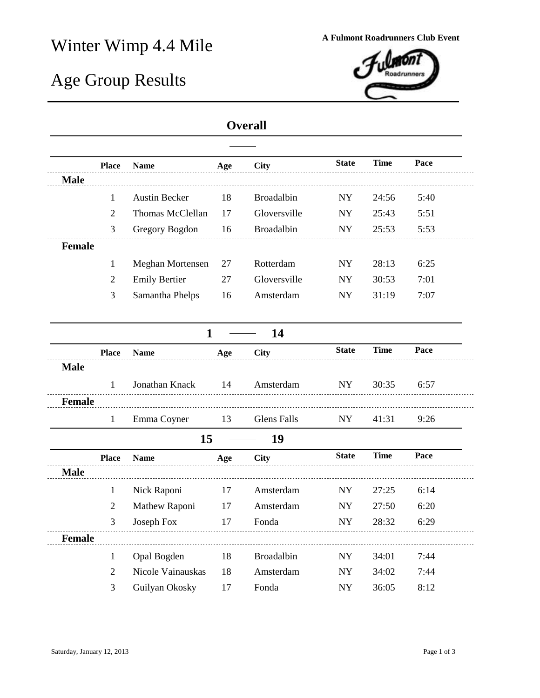## Winter Wimp 4.4 Mile **A Fulmont Roadrunners Club Event**

## Age Group Results



## **Overall**

|               | <b>Place</b>   | <b>Name</b>             | Age | <b>City</b>        | <b>State</b> | <b>Time</b> | Pace |
|---------------|----------------|-------------------------|-----|--------------------|--------------|-------------|------|
| <b>Male</b>   |                |                         |     |                    |              |             |      |
|               | 1              | <b>Austin Becker</b>    | 18  | <b>Broadalbin</b>  | <b>NY</b>    | 24:56       | 5:40 |
|               | $\mathfrak{2}$ | Thomas McClellan        | 17  | Gloversville       | <b>NY</b>    | 25:43       | 5:51 |
|               | 3              | Gregory Bogdon          | 16  | Broadalbin         | NY           | 25:53       | 5:53 |
| Female        |                |                         |     |                    |              |             |      |
|               | $\mathbf{1}$   | <b>Meghan Mortensen</b> | 27  | Rotterdam          | ${\rm NY}$   | 28:13       | 6:25 |
|               | $\overline{2}$ | <b>Emily Bertier</b>    | 27  | Gloversville       | <b>NY</b>    | 30:53       | 7:01 |
|               | 3              | Samantha Phelps         | 16  | Amsterdam          | ${\rm NY}$   | 31:19       | 7:07 |
|               |                |                         |     |                    |              |             |      |
|               |                | $\mathbf{1}$            |     | 14                 |              |             |      |
|               | <b>Place</b>   | <b>Name</b>             | Age | <b>City</b>        | <b>State</b> | <b>Time</b> | Pace |
| <b>Male</b>   |                |                         |     |                    |              |             |      |
|               | 1              | Jonathan Knack          | 14  | Amsterdam          | ${\rm NY}$   | 30:35       | 6:57 |
| <b>Female</b> |                |                         |     |                    |              |             |      |
|               | $\mathbf{1}$   | Emma Coyner             | 13  | <b>Glens Falls</b> | NY           | 41:31       | 9:26 |
|               |                | 15                      |     | 19                 |              |             |      |
|               | <b>Place</b>   | <b>Name</b>             | Age | <b>City</b>        | <b>State</b> | <b>Time</b> | Pace |
| <b>Male</b>   |                |                         |     |                    |              |             |      |
|               | $\mathbf{1}$   | Nick Raponi             | 17  | Amsterdam          | ${\rm NY}$   | 27:25       | 6:14 |
|               | $\mathfrak{2}$ | Mathew Raponi           | 17  | Amsterdam          | <b>NY</b>    | 27:50       | 6:20 |
|               | 3              | Joseph Fox              | 17  | Fonda              | ${\rm NY}$   | 28:32       | 6:29 |
| Female        |                |                         |     |                    |              |             |      |
|               | 1              | Opal Bogden             | 18  | <b>Broadalbin</b>  | <b>NY</b>    | 34:01       | 7:44 |
|               | 2              | Nicole Vainauskas       | 18  | Amsterdam          | <b>NY</b>    | 34:02       | 7:44 |
|               | 3              | Guilyan Okosky          | 17  | Fonda              | <b>NY</b>    | 36:05       | 8:12 |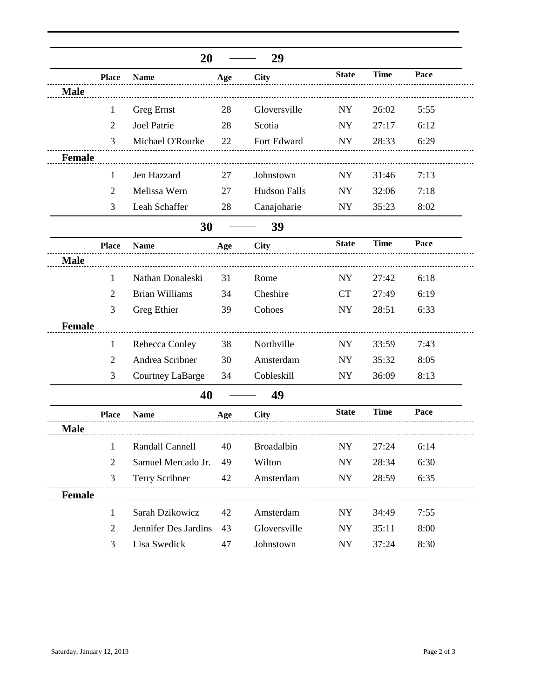|               |                | 20                    |     | 29                  |              |             |      |
|---------------|----------------|-----------------------|-----|---------------------|--------------|-------------|------|
|               | <b>Place</b>   | <b>Name</b>           | Age | <b>City</b>         | <b>State</b> | <b>Time</b> | Pace |
| <b>Male</b>   |                |                       |     |                     |              |             |      |
|               | 1              | <b>Greg Ernst</b>     | 28  | Gloversville        | <b>NY</b>    | 26:02       | 5:55 |
|               | 2              | Joel Patrie           | 28  | Scotia              | NY           | 27:17       | 6:12 |
|               | 3              | Michael O'Rourke      | 22  | Fort Edward         | <b>NY</b>    | 28:33       | 6:29 |
| <b>Female</b> |                |                       |     |                     |              |             |      |
|               | 1              | Jen Hazzard           | 27  | Johnstown           | NY           | 31:46       | 7:13 |
|               | $\overline{2}$ | Melissa Wern          | 27  | <b>Hudson Falls</b> | <b>NY</b>    | 32:06       | 7:18 |
|               | 3              | Leah Schaffer         | 28  | Canajoharie         | NY           | 35:23       | 8:02 |
|               |                | 30                    |     | 39                  |              |             |      |
|               | <b>Place</b>   | <b>Name</b>           | Age | <b>City</b>         | <b>State</b> | <b>Time</b> | Pace |
| <b>Male</b>   |                |                       |     |                     |              |             |      |
|               | 1              | Nathan Donaleski      | 31  | Rome                | <b>NY</b>    | 27:42       | 6:18 |
|               | 2              | <b>Brian Williams</b> | 34  | Cheshire            | <b>CT</b>    | 27:49       | 6:19 |
|               | 3              | Greg Ethier           | 39  | Cohoes              | NY           | 28:51       | 6:33 |
| <b>Female</b> |                |                       |     |                     |              |             |      |
|               | 1              | Rebecca Conley        | 38  | Northville          | NY           | 33:59       | 7:43 |
|               | 2              | Andrea Scribner       | 30  | Amsterdam           | <b>NY</b>    | 35:32       | 8:05 |
|               | 3              | Courtney LaBarge      | 34  | Cobleskill          | <b>NY</b>    | 36:09       | 8:13 |
|               |                | 40                    |     | 49                  |              |             |      |
|               | <b>Place</b>   | <b>Name</b>           | Age | <b>City</b>         | <b>State</b> | <b>Time</b> | Pace |
| <b>Male</b>   |                |                       |     |                     |              |             |      |
|               | $\mathbf{1}$   | Randall Cannell       | 40  | Broadalbin          | NY           | 27:24       | 6:14 |
|               | $\overline{2}$ | Samuel Mercado Jr.    | 49  | Wilton              | NY           | 28:34       | 6:30 |
|               | 3              | <b>Terry Scribner</b> | 42  | Amsterdam           | NY           | 28:59       | 6:35 |
| <b>Female</b> |                |                       |     |                     |              |             |      |
|               | $\mathbf{1}$   | Sarah Dzikowicz       | 42  | Amsterdam           | NY           | 34:49       | 7:55 |
|               | $\overline{2}$ | Jennifer Des Jardins  | 43  | Gloversville        | NY           | 35:11       | 8:00 |
|               | 3              | Lisa Swedick          | 47  | Johnstown           | ${\rm NY}$   | 37:24       | 8:30 |